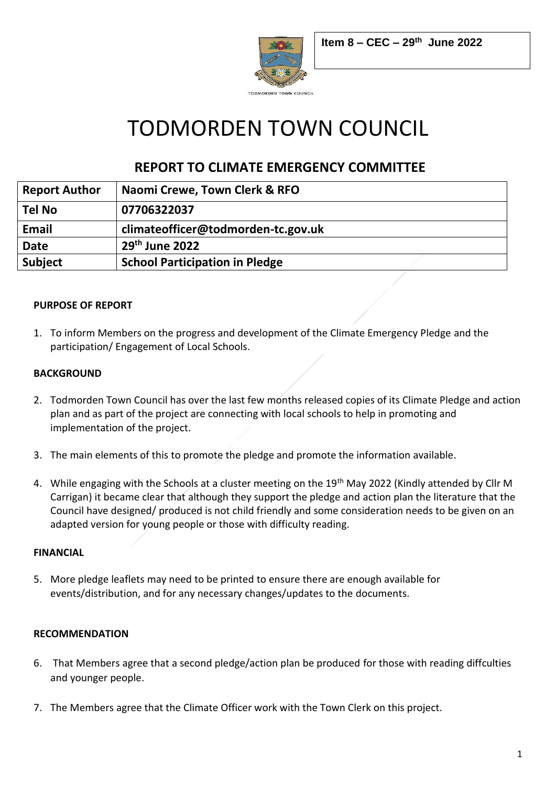

# TODMORDEN TOWN COUNCIL

# **REPORT TO CLIMATE EMERGENCY COMMITTEE**

| <b>Report Author</b> | Naomi Crewe, Town Clerk & RFO         |
|----------------------|---------------------------------------|
| <b>Tel No</b>        | 07706322037                           |
| Email                | climateofficer@todmorden-tc.gov.uk    |
| <b>Date</b>          | $29th$ June 2022                      |
| <b>Subject</b>       | <b>School Participation in Pledge</b> |

# **PURPOSE OF REPORT**

1. To inform Members on the progress and development of the Climate Emergency Pledge and the participation/ Engagement of Local Schools.

# **BACKGROUND**

- 2. Todmorden Town Council has over the last few months released copies of its Climate Pledge and action plan and as part of the project are connecting with local schools to help in promoting and implementation of the project.
- 3. The main elements of this to promote the pledge and promote the information available.
- 4. While engaging with the Schools at a cluster meeting on the 19<sup>th</sup> May 2022 (Kindly attended by Cllr M Carrigan) it became clear that although they support the pledge and action plan the literature that the Council have designed/ produced is not child friendly and some consideration needs to be given on an adapted version for young people or those with difficulty reading.

# **FINANCIAL**

5. More pledge leaflets may need to be printed to ensure there are enough available for events/distribution, and for any necessary changes/updates to the documents.

# **RECOMMENDATION**

- 6. That Members agree that a second pledge/action plan be produced for those with reading diffculties and younger people.
- 7. The Members agree that the Climate Officer work with the Town Clerk on this project.